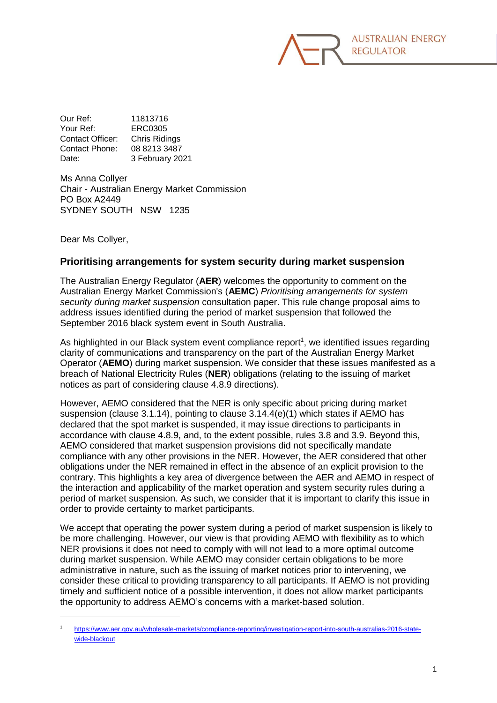

Our Ref: 11813716 Your Ref: ERC0305 Contact Officer: Chris Ridings Contact Phone: 08 8213 3487 Date: 3 February 2021

Ms Anna Collyer Chair - Australian Energy Market Commission PO Box A2449 SYDNEY SOUTH NSW 1235

Dear Ms Collyer,

-

## **Prioritising arrangements for system security during market suspension**

The Australian Energy Regulator (**AER**) welcomes the opportunity to comment on the Australian Energy Market Commission's (**AEMC**) *Prioritising arrangements for system security during market suspension* consultation paper. This rule change proposal aims to address issues identified during the period of market suspension that followed the September 2016 black system event in South Australia.

As highlighted in our Black system event compliance report<sup>1</sup>, we identified issues regarding clarity of communications and transparency on the part of the Australian Energy Market Operator (**AEMO**) during market suspension. We consider that these issues manifested as a breach of National Electricity Rules (**NER**) obligations (relating to the issuing of market notices as part of considering clause 4.8.9 directions).

However, AEMO considered that the NER is only specific about pricing during market suspension (clause 3.1.14), pointing to clause 3.14.4(e)(1) which states if AEMO has declared that the spot market is suspended, it may issue directions to participants in accordance with clause 4.8.9, and, to the extent possible, rules 3.8 and 3.9. Beyond this, AEMO considered that market suspension provisions did not specifically mandate compliance with any other provisions in the NER. However, the AER considered that other obligations under the NER remained in effect in the absence of an explicit provision to the contrary. This highlights a key area of divergence between the AER and AEMO in respect of the interaction and applicability of the market operation and system security rules during a period of market suspension. As such, we consider that it is important to clarify this issue in order to provide certainty to market participants.

We accept that operating the power system during a period of market suspension is likely to be more challenging. However, our view is that providing AEMO with flexibility as to which NER provisions it does not need to comply with will not lead to a more optimal outcome during market suspension. While AEMO may consider certain obligations to be more administrative in nature, such as the issuing of market notices prior to intervening, we consider these critical to providing transparency to all participants. If AEMO is not providing timely and sufficient notice of a possible intervention, it does not allow market participants the opportunity to address AEMO's concerns with a market-based solution.

<sup>1</sup> [https://www.aer.gov.au/wholesale-markets/compliance-reporting/investigation-report-into-south-australias-2016-state](https://www.aer.gov.au/wholesale-markets/compliance-reporting/investigation-report-into-south-australias-2016-state-wide-blackout)[wide-blackout](https://www.aer.gov.au/wholesale-markets/compliance-reporting/investigation-report-into-south-australias-2016-state-wide-blackout)